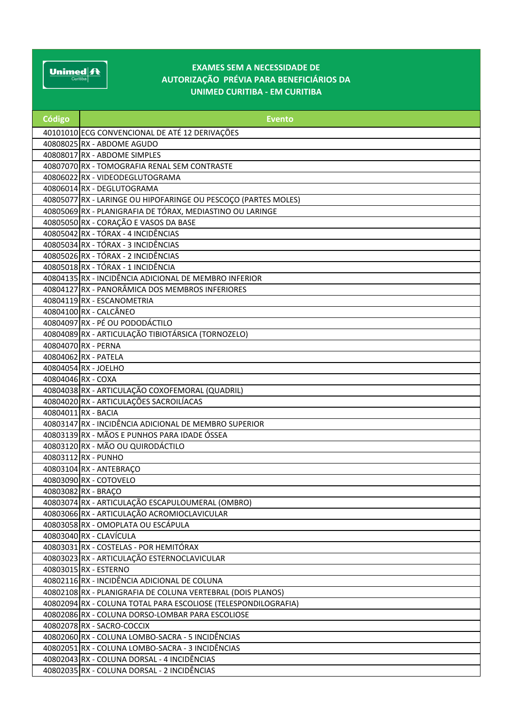$\underbrace{\text{Unimed}|\mathbf{\mathbf{\mathcal{f}}\mathbf{\mathbf{\mathcal{F}}}}_{\text{Curtiba}}|}\ \ \ \text{and} \ \ \ \text{and} \ \ \ \text{for} \ \ \ \text{for} \ \ \text{for} \ \ \text{for} \ \ \text{for} \ \ \text{for} \ \ \text{for} \ \ \text{for} \ \ \text{for} \ \ \text{for} \ \ \text{for} \ \ \text{for} \ \ \text{for} \ \ \text{for} \ \ \text{for} \ \ \text{for} \ \ \text{for} \ \ \text{for} \ \ \text{for} \ \ \text{for} \ \ \text{for} \ \ \text{for} \ \ \text{$ 

## EXAMES SEM A NECESSIDADE DE AUTORIZAÇÃO PRÉVIA PARA BENEFICIÁRIOS DA UNIMED CURITIBA - EM CURITIBA

| Código             | <b>Evento</b>                                                  |
|--------------------|----------------------------------------------------------------|
|                    | 40101010 ECG CONVENCIONAL DE ATÉ 12 DERIVAÇÕES                 |
|                    | 40808025 RX - ABDOME AGUDO                                     |
|                    | 40808017 RX - ABDOME SIMPLES                                   |
|                    | 40807070 RX - TOMOGRAFIA RENAL SEM CONTRASTE                   |
|                    | 40806022 RX - VIDEODEGLUTOGRAMA                                |
|                    | 40806014 RX - DEGLUTOGRAMA                                     |
|                    | 40805077 RX - LARINGE OU HIPOFARINGE OU PESCOÇO (PARTES MOLES) |
|                    | 40805069 RX - PLANIGRAFIA DE TÓRAX, MEDIASTINO OU LARINGE      |
|                    | 40805050 RX - CORAÇÃO E VASOS DA BASE                          |
|                    | 40805042 RX - TÓRAX - 4 INCIDÊNCIAS                            |
|                    | 40805034 RX - TÓRAX - 3 INCIDÊNCIAS                            |
|                    | 40805026 RX - TÓRAX - 2 INCIDÊNCIAS                            |
|                    | 40805018 RX - TÓRAX - 1 INCIDÊNCIA                             |
|                    | 40804135 RX - INCIDÊNCIA ADICIONAL DE MEMBRO INFERIOR          |
|                    | 40804127 RX - PANORÂMICA DOS MEMBROS INFERIORES                |
|                    | 40804119 RX - ESCANOMETRIA                                     |
|                    | 40804100 RX - CALCÂNEO                                         |
|                    | 40804097 RX - PÉ OU PODODÁCTILO                                |
|                    | 40804089 RX - ARTICULAÇÃO TIBIOTÁRSICA (TORNOZELO)             |
|                    | 40804070 RX - PERNA                                            |
|                    | 40804062 RX - PATELA                                           |
|                    | 40804054 RX - JOELHO                                           |
| 40804046 RX - COXA |                                                                |
|                    | 40804038 RX - ARTICULAÇÃO COXOFEMORAL (QUADRIL)                |
|                    | 40804020 RX - ARTICULAÇÕES SACROILÍACAS                        |
|                    | 40804011 RX - BACIA                                            |
|                    | 40803147 RX - INCIDÊNCIA ADICIONAL DE MEMBRO SUPERIOR          |
|                    | 40803139 RX - MÃOS E PUNHOS PARA IDADE ÓSSEA                   |
|                    | 40803120 RX - MÃO OU QUIRODÁCTILO                              |
|                    | 40803112 RX - PUNHO                                            |
|                    | 40803104 RX - ANTEBRAÇO                                        |
|                    | 40803090 RX - COTOVELO                                         |
|                    | 40803082 RX - BRACO                                            |
|                    | 40803074 RX - ARTICULAÇÃO ESCAPULOUMERAL (OMBRO)               |
|                    | 40803066 RX - ARTICULAÇÃO ACROMIOCLAVICULAR                    |
|                    | 40803058 RX - OMOPLATA OU ESCÁPULA                             |
|                    | 40803040 RX - CLAVÍCULA                                        |
|                    | 40803031 RX - COSTELAS - POR HEMITÓRAX                         |
|                    | 40803023 RX - ARTICULAÇÃO ESTERNOCLAVICULAR                    |
|                    | 40803015 RX - ESTERNO                                          |
|                    | 40802116 RX - INCIDÊNCIA ADICIONAL DE COLUNA                   |
|                    | 40802108 RX - PLANIGRAFIA DE COLUNA VERTEBRAL (DOIS PLANOS)    |
|                    | 40802094 RX - COLUNA TOTAL PARA ESCOLIOSE (TELESPONDILOGRAFIA) |
|                    | 40802086 RX - COLUNA DORSO-LOMBAR PARA ESCOLIOSE               |
|                    | 40802078 RX - SACRO-COCCIX                                     |
|                    | 40802060 RX - COLUNA LOMBO-SACRA - 5 INCIDÊNCIAS               |
|                    | 40802051 RX - COLUNA LOMBO-SACRA - 3 INCIDÊNCIAS               |
|                    | 40802043 RX - COLUNA DORSAL - 4 INCIDÊNCIAS                    |
|                    | 40802035 RX - COLUNA DORSAL - 2 INCIDÊNCIAS                    |